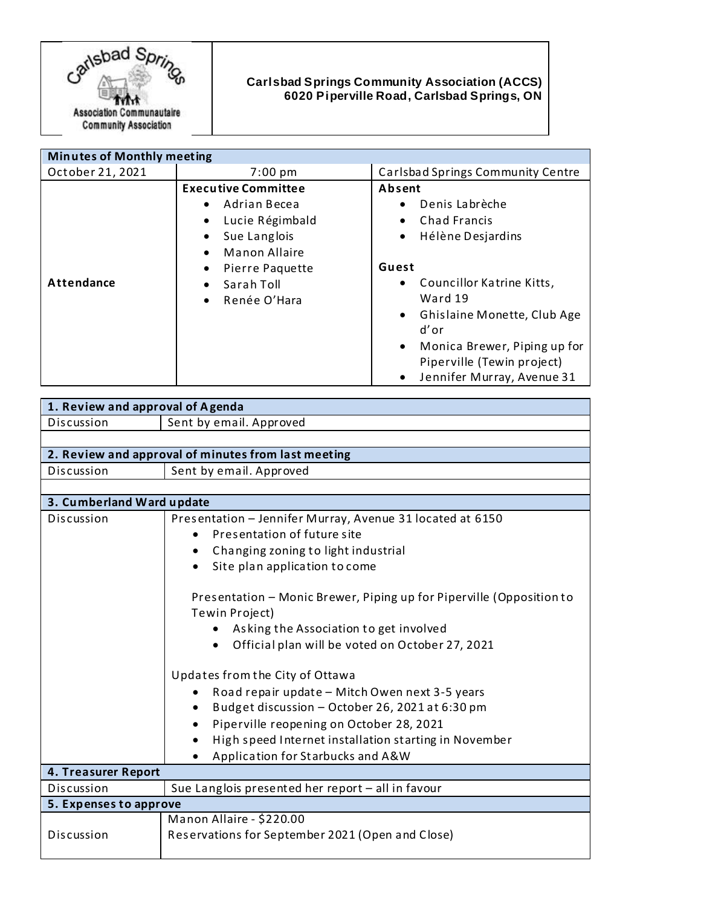

## **Carlsbad Springs Community Association (ACCS) 6020 Piperville Road, Carlsbad Springs, ON**

| <b>Minutes of Monthly meeting</b> |                                                                                                                                                                                                                                      |                                                                                                                                                                                                                                                                                                                     |
|-----------------------------------|--------------------------------------------------------------------------------------------------------------------------------------------------------------------------------------------------------------------------------------|---------------------------------------------------------------------------------------------------------------------------------------------------------------------------------------------------------------------------------------------------------------------------------------------------------------------|
| October 21, 2021                  | $7:00 \text{ pm}$                                                                                                                                                                                                                    | Carlsbad Springs Community Centre                                                                                                                                                                                                                                                                                   |
| Attendance                        | <b>Executive Committee</b><br>Adrian Becea<br>$\bullet$<br>Lucie Régimbald<br>Sue Langlois<br>$\bullet$<br><b>Manon Allaire</b><br>$\bullet$<br>Pierre Paquette<br>$\bullet$<br>Sarah Toll<br>$\bullet$<br>Renée O'Hara<br>$\bullet$ | Absent<br>Denis Labrèche<br>٠<br><b>Chad Francis</b><br>٠<br>Hélène Desjardins<br>٠<br>Guest<br>Councillor Katrine Kitts,<br>$\bullet$<br>Ward 19<br>Ghislaine Monette, Club Age<br>$\bullet$<br>d'or<br>Monica Brewer, Piping up for<br>$\bullet$<br>Piperville (Tewin project)<br>Jennifer Murray, Avenue 31<br>٠ |

| 1. Review and approval of Agenda                    |                                                                                                                                                                                                                                                                                                                                                                                                                                                                                    |  |
|-----------------------------------------------------|------------------------------------------------------------------------------------------------------------------------------------------------------------------------------------------------------------------------------------------------------------------------------------------------------------------------------------------------------------------------------------------------------------------------------------------------------------------------------------|--|
| Discussion                                          | Sent by email. Approved                                                                                                                                                                                                                                                                                                                                                                                                                                                            |  |
|                                                     |                                                                                                                                                                                                                                                                                                                                                                                                                                                                                    |  |
| 2. Review and approval of minutes from last meeting |                                                                                                                                                                                                                                                                                                                                                                                                                                                                                    |  |
| Discussion                                          | Sent by email. Approved                                                                                                                                                                                                                                                                                                                                                                                                                                                            |  |
|                                                     |                                                                                                                                                                                                                                                                                                                                                                                                                                                                                    |  |
| 3. Cumberland Ward update                           |                                                                                                                                                                                                                                                                                                                                                                                                                                                                                    |  |
| Discussion                                          | Presentation - Jennifer Murray, Avenue 31 located at 6150                                                                                                                                                                                                                                                                                                                                                                                                                          |  |
|                                                     | Presentation of future site                                                                                                                                                                                                                                                                                                                                                                                                                                                        |  |
|                                                     | Changing zoning to light industrial                                                                                                                                                                                                                                                                                                                                                                                                                                                |  |
|                                                     | Site plan application to come                                                                                                                                                                                                                                                                                                                                                                                                                                                      |  |
|                                                     | Presentation - Monic Brewer, Piping up for Piperville (Opposition to<br>Tewin Project)<br>Asking the Association to get involved<br>Official plan will be voted on October 27, 2021<br>Updates from the City of Ottawa<br>Road repair update - Mitch Owen next 3-5 years<br>Budget discussion - October 26, 2021 at 6:30 pm<br>Piperville reopening on October 28, 2021<br>$\bullet$<br>High speed Internet installation starting in November<br>Application for Starbucks and A&W |  |
| 4. Treasurer Report                                 |                                                                                                                                                                                                                                                                                                                                                                                                                                                                                    |  |
| Discussion                                          | Sue Langlois presented her report - all in favour                                                                                                                                                                                                                                                                                                                                                                                                                                  |  |
| 5. Expenses to approve                              |                                                                                                                                                                                                                                                                                                                                                                                                                                                                                    |  |
|                                                     | Manon Allaire - \$220.00                                                                                                                                                                                                                                                                                                                                                                                                                                                           |  |
| Discussion                                          | Reservations for September 2021 (Open and Close)                                                                                                                                                                                                                                                                                                                                                                                                                                   |  |
|                                                     |                                                                                                                                                                                                                                                                                                                                                                                                                                                                                    |  |